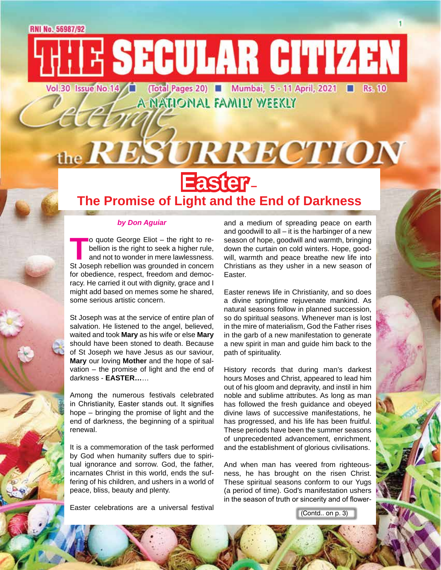Vol.30 Issue No.14 (Total Pages 20) ■ Mumbai, 5 - 11 April, 2021 ■ **Rs. 10** A NATIONAL FAMILY WEEKLY

**TE SECULAR CITIZEN** 



## **Easter – The Promise of Light and the End of Darkness**

#### *by Don Aguiar*

**To quote George Eliot – the right to rebellion is the right to seek a higher rule, and not to wonder in mere lawlessness.<br>St Joseph rebellion was grounded in concern** bellion is the right to seek a higher rule, and not to wonder in mere lawlessness. for obedience, respect, freedom and democracy. He carried it out with dignity, grace and I might add based on memes some he shared, some serious artistic concern.

St Joseph was at the service of entire plan of salvation. He listened to the angel, believed, waited and took **Mary** as his wife or else **Mary** should have been stoned to death. Because of St Joseph we have Jesus as our saviour, **Mary** our loving **Mother** and the hope of salvation – the promise of light and the end of darkness - **EASTER…**…

Among the numerous festivals celebrated in Christianity, Easter stands out. It signifies hope – bringing the promise of light and the end of darkness, the beginning of a spiritual renewal.

It is a commemoration of the task performed by God when humanity suffers due to spiritual ignorance and sorrow. God, the father, incarnates Christ in this world, ends the suffering of his children, and ushers in a world of peace, bliss, beauty and plenty.

Easter celebrations are a universal festival

and a medium of spreading peace on earth and goodwill to all  $-$  it is the harbinger of a new season of hope, goodwill and warmth, bringing down the curtain on cold winters. Hope, goodwill, warmth and peace breathe new life into Christians as they usher in a new season of Easter.

Easter renews life in Christianity, and so does a divine springtime rejuvenate mankind. As natural seasons follow in planned succession, so do spiritual seasons. Whenever man is lost in the mire of materialism, God the Father rises in the garb of a new manifestation to generate a new spirit in man and guide him back to the path of spirituality.

History records that during man's darkest hours Moses and Christ, appeared to lead him out of his gloom and depravity, and instil in him noble and sublime attributes. As long as man has followed the fresh guidance and obeyed divine laws of successive manifestations, he has progressed, and his life has been fruitful. These periods have been the summer seasons of unprecedented advancement, enrichment, and the establishment of glorious civilisations.

And when man has veered from righteousness, he has brought on the risen Christ. These spiritual seasons conform to our Yugs (a period of time). God's manifestation ushers in the season of truth or sincerity and of flower-

(Contd.. on p. 3)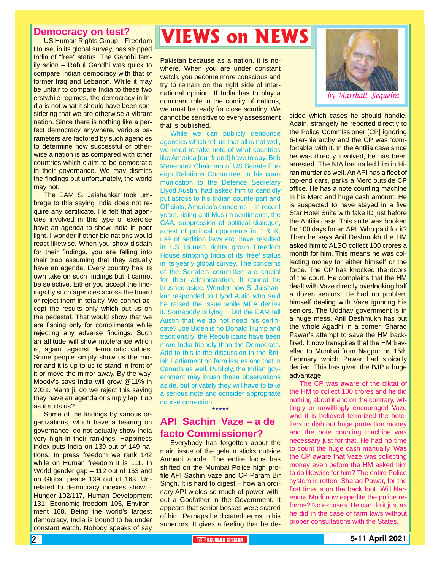#### **Democracy on test?**

US Human Rights Group – Freedom House, in its global survey, has stripped India of "free" status. The Gandhi family scion – Rahul Gandhi was quick to compare Indian democracy with that of former Iraq and Lebanon. While it may be unfair to compare India to these two erstwhile regimes, the democracy in India is not what it should have been considering that we are otherwise a vibrant nation. Since there is nothing like a perfect democracy anywhere, various parameters are factored by such agencies to determine how successful or otherwise a nation is as compared with other countries which claim to be democratic in their governance. We may dismiss the findings but unfortunately, the world may not.

The EAM S. Jaishankar took umbrage to this saying India does not require any certificate. He felt that agencies involved in this type of exercise have an agenda to show India in poor light. I wonder if other big nations would react likewise. When you show disdain for their findings, you are falling into their trap assuming that they actually have an agenda. Every country has its own take on such findings but it cannot be selective. Either you accept the findings by such agencies across the board or reject them in totality. We cannot accept the results only which put us on the pedestal. That would show that we are fishing only for compliments while rejecting any adverse findings. Such an attitude will show intolerance which is, again, against democratic values. Some people simply show us the mirror and it is up to us to stand in front of it or move the mirror away. By the way, Moody's says India will grow @11% in 2021. Mantriji, do we reject this saying they have an agenda or simply lap it up as it suits us?

Some of the findings by various organizations, which have a bearing on governance, do not actually show India very high in their rankings. Happiness index puts India on 139 out of 149 nations. In press freedom we rank 142 while on Human freedom it is 111. In World gender gap – 112 out of 153 and on Global peace 139 out of 163. Unrelated to democracy indexes show – Hunger 102/117, Human Development 131, Economic freedom 105, Environment 168. Being the world's largest democracy, India is bound to be under constant watch. Nobody speaks of say

# **VIEWS on NEWS**

Pakistan because as a nation, it is nowhere. When you are under constant watch, you become more conscious and try to remain on the right side of international opinion. If India has to play a dominant role in the comity of nations, we must be ready for close scrutiny. We cannot be sensitive to every assessment that is published.

While we can publicly denounce agencies which tell us that all is not well, we need to take note of what countries like America [our friend] have to say. Bob Menendez Chairman of US Senate Foreign Relations Committee, in his communication to the Defence Secretary Llyod Austin, had asked him to candidly put across to his Indian counterpart and Officials, America's concerns – in recent years, rising anti-Muslim sentiments, the CAA, suppression of political dialogue, arrest of political opponents in J & K, use of sedition laws etc; have resulted in US Human rights group Freedom House stripping India of its 'free' status in its yearly global survey. The concerns of the Senate's committee are crucial for their administration. It cannot be brushed aside. Wonder how S. Jaishankar responded to Llyod Autin who said he raised the issue while MEA denies it. Somebody is lying. Did the EAM tell Austin that we do not need his certificate? Joe Biden is no Donald Trump and traditionally, the Republicans have been more India friendly than the Democrats. Add to this is the discussion in the British Parliament on farm issues and that in Canada as well. Publicly, the Indian government may brush these observations aside, but privately they will have to take a serious note and consider appropriate course correction.

### **API Sachin Vaze – a de facto Commissioner?**

\*\*\*\*\*

Everybody has forgotten about the main issue of the gelatin sticks outside Ambani abode. The entire focus has shifted on the Mumbai Police high profile API Sachin Vaze and CP Param Bir Singh. It is hard to digest – how an ordinary API wields so much of power without a Godfather in the Government. It appears that senior bosses were scared of him. Perhaps he dictated terms to his superiors. It gives a feeling that he de-



cided which cases he should handle. Again, strangely he reported directly to the Police Commissioner [CP] ignoring 6-tier-hierarchy and the CP was 'comfortable' with it. In the Antilia case since he was directly involved, he has been arrested. The NIA has nailed him in Hiran murder as well. An API has a fleet of top-end cars, parks a Merc outside CP office. He has a note counting machine in his Merc and huge cash amount. He is suspected to have stayed in a five Star Hotel Suite with fake ID just before the Antilia case. This suite was booked for 100 days for an API. Who paid for it? Then he says Anil Deshmukh the HM asked him to ALSO collect 100 crores a month for him. This means he was collecting money for either himself or the force. The CP has knocked the doors of the court. He complains that the HM dealt with Vaze directly overlooking half a dozen seniors. He had no problem himself dealing with Vaze ignoring his seniors. The Uddhav government is in a huge mess. Anil Deshmukh has put the whole Agadhi in a corner. Sharad Pawar's attempt to save the HM backfired. It now transpires that the HM travelled to Mumbai from Nagpur on 15th February which Pawar had stoically denied. This has given the BJP a huge advantage.

The CP was aware of the diktat of the HM to collect 100 crores and he did nothing about it and on the contrary, wittingly or unwittingly encouraged Vaze who it is believed terrorized the hoteliers to dish out huge protection money and the note counting machine was necessary just for that. He had no time to count the huge cash manually. Was the CP aware that Vaze was collecting money even before the HM asked him to do likewise for him? The entire Police system is rotten. Sharad Pawar, for the first time is on the back foot. Will Narendra Modi now expedite the police reforms? No excuses. He can do it just as he did in the case of farm laws without proper consultations with the States.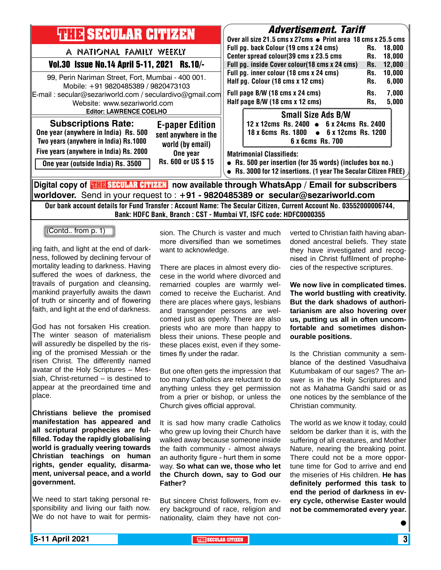| <b>THILE SECULAR CITIZEN</b>                                                                                                                                                                                                                                                                     | <b>Advertisement. Tariff</b><br>Over all size 21.5 cms x 27cms $\bullet$ Print area 18 cms x 25.5 cms<br>Full pg. back Colour (19 cms x 24 cms)<br>18,000<br>Rs.<br>Center spread colour(39 cms x 23.5 cms<br>18,000<br>Rs.<br>Full pg. inside Cover colour(18 cms x 24 cms)<br>12,000<br>Rs.<br>Full pg. inner colour (18 cms x 24 cms)<br>10,000<br>Rs.<br>Half pg. Colour (18 cms x 12 cms)<br>6,000<br>Rs.<br>Full page B/W (18 cms x 24 cms)<br>7,000<br>Rs.<br>Half page B/W (18 cms x 12 cms)<br>5,000<br>Rs. |
|--------------------------------------------------------------------------------------------------------------------------------------------------------------------------------------------------------------------------------------------------------------------------------------------------|----------------------------------------------------------------------------------------------------------------------------------------------------------------------------------------------------------------------------------------------------------------------------------------------------------------------------------------------------------------------------------------------------------------------------------------------------------------------------------------------------------------------|
| A NATIONAL FAMILY WEEKLY<br>Vol.30 Issue No.14 April 5-11, 2021 Rs.10/-<br>99, Perin Nariman Street, Fort, Mumbai - 400 001.<br>Mobile: +91 9820485389 / 9820473103<br>E-mail: secular@sezariworld.com / seculardivo@gmail.com<br>Website: www.sezariworld.com<br><b>Editor: LAWRENCE COELHO</b> |                                                                                                                                                                                                                                                                                                                                                                                                                                                                                                                      |
| <b>Subscriptions Rate:</b><br><b>E-paper Edition</b><br>One year (anywhere in India) Rs. 500<br>sent anywhere in the<br>Two years (anywhere in India) Rs.1000<br>world (by email)                                                                                                                | <b>Small Size Ads B/W</b><br>12 x 12cms Rs. 2400 • 6 x 24cms Rs. 2400<br>$\bullet$ 6 x 12cms Rs. 1200<br>18 x 6cms Rs. 1800<br>6 x 6cms Rs. 700                                                                                                                                                                                                                                                                                                                                                                      |
| Five years (anywhere in India) Rs. 2000<br>One year<br>Rs. 600 or US \$15<br>One year (outside India) Rs. 3500                                                                                                                                                                                   | <b>Matrimonial Classifieds:</b><br>• Rs. 500 per insertion (for 35 words) (includes box no.)<br>• Rs. 3000 for 12 insertions. (1 year The Secular Citizen FREE)                                                                                                                                                                                                                                                                                                                                                      |
| Digital copy of <b>THE SECULAR CITIZEN</b> now available through WhatsApp / Email for subscribers<br>worldover. Send in your request to : $+91$ - 9820485389 or secular@sezariworld.com                                                                                                          |                                                                                                                                                                                                                                                                                                                                                                                                                                                                                                                      |

Our bank account details for Fund Transfer : Account Name: The Secular Citizen, Current Account No. 03552000006744, Bank: HDFC Bank, Branch : CST - Mumbai VT, ISFC code: HDFC0000355

(Contd.. from p. 1)

ing faith, and light at the end of darkness, followed by declining fervour of mortality leading to darkness. Having suffered the woes of darkness, the travails of purgation and cleansing, mankind prayerfully awaits the dawn of truth or sincerity and of flowering faith, and light at the end of darkness.

God has not forsaken His creation. The winter season of materialism will assuredly be dispelled by the rising of the promised Messiah or the risen Christ. The differently named avatar of the Holy Scriptures – Messiah, Christ-returned – is destined to appear at the preordained time and place.

**Christians believe the promised manifestation has appeared and all scriptural prophecies are fulfilled. Today the rapidly globalising world is gradually veering towards Christian teachings on human rights, gender equality, disarmament, universal peace, and a world government.**

We need to start taking personal responsibility and living our faith now. We do not have to wait for permis-

sion. The Church is vaster and much more diversified than we sometimes want to acknowledge.

There are places in almost every diocese in the world where divorced and remarried couples are warmly welcomed to receive the Eucharist. And there are places where gays, lesbians and transgender persons are welcomed just as openly. There are also priests who are more than happy to bless their unions. These people and these places exist, even if they sometimes fly under the radar.

But one often gets the impression that too many Catholics are reluctant to do anything unless they get permission from a prier or bishop, or unless the Church gives official approval.

It is sad how many cradle Catholics who grew up loving their Church have walked away because someone inside the faith community - almost always an authority figure - hurt them in some way. **So what can we, those who let the Church down, say to God our Father?**

But sincere Christ followers, from every background of race, religion and nationality, claim they have not converted to Christian faith having abandoned ancestral beliefs. They state they have investigated and recognised in Christ fulfilment of prophecies of the respective scriptures.

**We now live in complicated times. The world bustling with creativity. But the dark shadows of authoritarianism are also hovering over us, putting us all in often uncomfortable and sometimes dishonourable positions.**

Is the Christian community a semblance of the destined Vasudhaiva Kutumbakam of our sages? The answer is in the Holy Scriptures and not as Mahatma Gandhi said or as one notices by the semblance of the Christian community.

The world as we know it today, could seldom be darker than it is, with the suffering of all creatures, and Mother Nature, nearing the breaking point. There could not be a more opportune time for God to arrive and end the miseries of His children. **He has definitely performed this task to end the period of darkness in every cycle, otherwise Easter would not be commemorated every year.**

 $\bullet$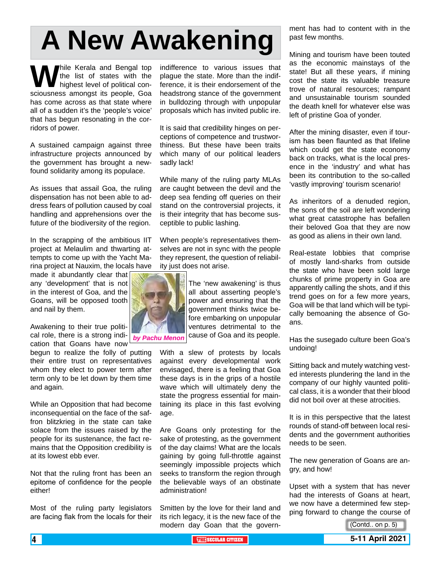# **A New Awakening**

**W** hile Kerala and Bengal top<br>the list of states with the<br>sciousness amongst its people. Goa the list of states with the highest level of political consciousness amongst its people, Goa has come across as that state where all of a sudden it's the 'people's voice' that has begun resonating in the corridors of power.

A sustained campaign against three infrastructure projects announced by the government has brought a newfound solidarity among its populace.

As issues that assail Goa, the ruling dispensation has not been able to address fears of pollution caused by coal handling and apprehensions over the future of the biodiversity of the region.

In the scrapping of the ambitious IIT project at Melaulim and thwarting attempts to come up with the Yacht Marina project at Nauxim, the locals have

made it abundantly clear that any 'development' that is not in the interest of Goa, and the Goans, will be opposed tooth and nail by them.

Awakening to their true political role, there is a strong indication that Goans have now

begun to realize the folly of putting their entire trust on representatives whom they elect to power term after term only to be let down by them time and again.

While an Opposition that had become inconsequential on the face of the saffron blitzkrieg in the state can take solace from the issues raised by the people for its sustenance, the fact remains that the Opposition credibility is at its lowest ebb ever.

Not that the ruling front has been an epitome of confidence for the people either!

Most of the ruling party legislators are facing flak from the locals for their indifference to various issues that plague the state. More than the indifference, it is their endorsement of the headstrong stance of the government in bulldozing through with unpopular proposals which has invited public ire.

It is said that credibility hinges on perceptions of competence and trustworthiness. But these have been traits which many of our political leaders sadly lack!

While many of the ruling party MLAs are caught between the devil and the deep sea fending off queries on their stand on the controversial projects, it is their integrity that has become susceptible to public lashing.

When people's representatives themselves are not in sync with the people they represent, the question of reliability just does not arise.

> The 'new awakening' is thus all about asserting people's power and ensuring that the government thinks twice before embarking on unpopular ventures detrimental to the cause of Goa and its people.

With a slew of protests by locals against every developmental work envisaged, there is a feeling that Goa these days is in the grips of a hostile wave which will ultimately deny the state the progress essential for maintaining its place in this fast evolving age.

Are Goans only protesting for the sake of protesting, as the government of the day claims! What are the locals gaining by going full-throttle against seemingly impossible projects which seeks to transform the region through the believable ways of an obstinate administration!

Smitten by the love for their land and its rich legacy, it is the new face of the modern day Goan that the govern-

ment has had to content with in the past few months.

Mining and tourism have been touted as the economic mainstays of the state! But all these years, if mining cost the state its valuable treasure trove of natural resources; rampant and unsustainable tourism sounded the death knell for whatever else was left of pristine Goa of yonder.

After the mining disaster, even if tourism has been flaunted as that lifeline which could get the state economy back on tracks, what is the local presence in the 'industry' and what has been its contribution to the so-called 'vastly improving' tourism scenario!

As inheritors of a denuded region, the sons of the soil are left wondering what great catastrophe has befallen their beloved Goa that they are now as good as aliens in their own land.

Real-estate lobbies that comprise of mostly land-sharks from outside the state who have been sold large chunks of prime property in Goa are apparently calling the shots, and if this trend goes on for a few more years, Goa will be that land which will be typically bemoaning the absence of Goans.

Has the susegado culture been Goa's undoing!

Sitting back and mutely watching vested interests plundering the land in the company of our highly vaunted political class, it is a wonder that their blood did not boil over at these atrocities.

It is in this perspective that the latest rounds of stand-off between local residents and the government authorities needs to be seen.

The new generation of Goans are angry, and how!

Upset with a system that has never had the interests of Goans at heart, we now have a determined few stepping forward to change the course of

(Contd.. on p. 5)



*by Pachu Menon*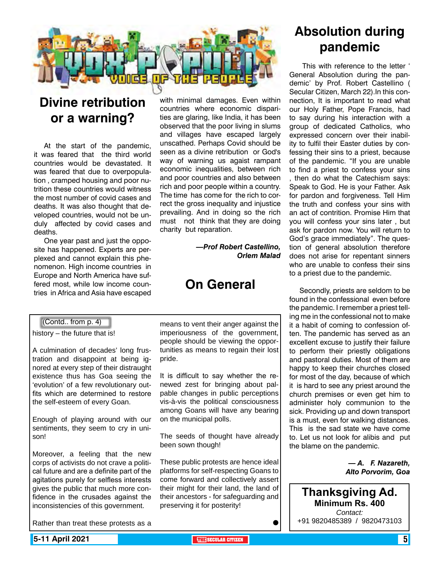

### **Divine retribution or a warning?**

At the start of the pandemic, it was feared that the third world countries would be devastated. It was feared that due to overpopulation , cramped housing and poor nutrition these countries would witness the most number of covid cases and deaths. It was also thought that developed countries, would not be unduly affected by covid cases and deaths.

One year past and just the opposite has happened. Experts are perplexed and cannot explain this phenomenon. High income countries in Europe and North America have suffered most, while low income countries in Africa and Asia have escaped

with minimal damages. Even within countries where economic disparities are glaring, like India, it has been observed that the poor living in slums and villages have escaped largely unscathed. Perhaps Covid should be seen as a divine retribution or God's way of warning us agaist rampant economic inequalities, between rich and poor countries and also between rich and poor people within a country. The time has come for the rich to correct the gross inequality and injustice prevailing. And in doing so the rich must not think that they are doing charity but reparation.

> *—Prof Robert Castellino, Orlem Malad*

### **On General**

### (Contd.. from p. 4)

history – the future that is!

A culmination of decades' long frustration and disappoint at being ignored at every step of their distraught existence thus has Goa seeing the 'evolution' of a few revolutionary outfits which are determined to restore the self-esteem of every Goan.

Enough of playing around with our sentiments, they seem to cry in unison!

Moreover, a feeling that the new corps of activists do not crave a political future and are a definite part of the agitations purely for selfless interests gives the public that much more confidence in the crusades against the inconsistencies of this government.

Rather than treat these protests as a

means to vent their anger against the imperiousness of the government, people should be viewing the opportunities as means to regain their lost pride.

It is difficult to say whether the renewed zest for bringing about palpable changes in public perceptions vis-à-vis the political consciousness among Goans will have any bearing on the municipal polls.

The seeds of thought have already been sown though!

These public protests are hence ideal platforms for self-respecting Goans to come forward and collectively assert their might for their land, the land of their ancestors - for safeguarding and preserving it for posterity!

### **Absolution during pandemic**

 This with reference to the letter ' General Absolution during the pandemic' by Prof. Robert Castellino ( Secular Citizen, March 22).In this connection, It is important to read what our Holy Father, Pope Francis, had to say during his interaction with a group of dedicated Catholics, who expressed concern over their inability to fulfil their Easter duties by confessing their sins to a priest, because of the pandemic. "If you are unable to find a priest to confess your sins , then do what the Catechism says: Speak to God. He is your Father. Ask for pardon and forgiveness. Tell Him the truth and confess your sins with an act of contrition. Promise Him that you will confess your sins later , but ask for pardon now. You will return to God's grace immediately". The question of general absolution therefore does not arise for repentant sinners who are unable to confess their sins to a priest due to the pandemic.

Secondly, priests are seldom to be found in the confessional even before the pandemic. I remember a priest telling me in the confessional not to make it a habit of coming to confession often. The pandemic has served as an excellent excuse to justify their failure to perform their priestly obligations and pastoral duties. Most of them are happy to keep their churches closed for most of the day, because of which it is hard to see any priest around the church premises or even get him to administer holy communion to the sick. Providing up and down transport is a must, even for walking distances. This is the sad state we have come to. Let us not look for alibis and put the blame on the pandemic.

> *— A. F. Nazareth, Alto Porvorim, Goa*

**Thanksgiving Ad. Minimum Rs. 400** *Contact:* +91 9820485389 / 9820473103

 $\bullet$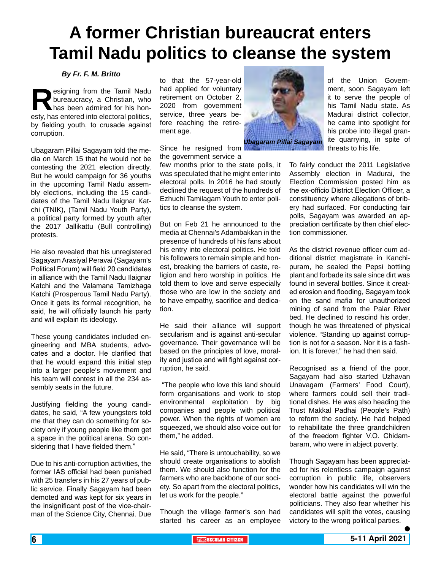# **A former Christian bureaucrat enters Tamil Nadu politics to cleanse the system**

#### *By Fr. F. M. Britto*

**Resigning from the Tamil Nadu bureaucracy, a Christian, who has been admired for his honesty. has entered into electoral politics.** bureaucracy, a Christian, who has been admired for his honesty, has entered into electoral politics, by fielding youth, to crusade against corruption.

Ubagaram Pillai Sagayam told the media on March 15 that he would not be contesting the 2021 election directly. But he would campaign for 36 youths in the upcoming Tamil Nadu assembly elections, including the 15 candidates of the Tamil Nadu Ilaignar Katchi (TNIK), (Tamil Nadu Youth Party), a political party formed by youth after the 2017 Jallikattu (Bull controlling) protests.

He also revealed that his unregistered Sagayam Arasiyal Peravai (Sagayam's Political Forum) will field 20 candidates in alliance with the Tamil Nadu Ilaignar Katchi and the Valamana Tamizhaga Katchi (Prosperous Tamil Nadu Party). Once it gets its formal recognition, he said, he will officially launch his party and will explain its ideology.

These young candidates included engineering and MBA students, advocates and a doctor. He clarified that that he would expand this initial step into a larger people's movement and his team will contest in all the 234 assembly seats in the future.

Justifying fielding the young candidates, he said, "A few youngsters told me that they can do something for society only if young people like them get a space in the political arena. So considering that I have fielded them."

Due to his anti-corruption activities, the former IAS official had been punished with 25 transfers in his 27 years of public service. Finally Sagayam had been demoted and was kept for six years in the insignificant post of the vice-chairman of the Science City, Chennai. Due

to that the 57-year-old had applied for voluntary retirement on October 2, 2020 from government service, three years before reaching the retirement age.

Since he resigned from the government service a

few months prior to the state polls, it was speculated that he might enter into electoral polls. In 2016 he had stoutly declined the request of the hundreds of Ezhuchi Tamilagam Youth to enter politics to cleanse the system.

But on Feb 21 he announced to the media at Chennai's Adambakkan in the presence of hundreds of his fans about his entry into electoral politics. He told his followers to remain simple and honest, breaking the barriers of caste, religion and hero worship in politics. He told them to love and serve especially those who are low in the society and to have empathy, sacrifice and dedication.

He said their alliance will support secularism and is against anti-secular governance. Their governance will be based on the principles of love, morality and justice and will fight against corruption, he said.

"The people who love this land should form organisations and work to stop environmental exploitation by big companies and people with political power. When the rights of women are squeezed, we should also voice out for them," he added.

He said, "There is untouchability, so we should create organisations to abolish them. We should also function for the farmers who are backbone of our society. So apart from the electoral politics, let us work for the people."

Though the village farmer's son had started his career as an employee



of the Union Government, soon Sagayam left it to serve the people of his Tamil Nadu state. As Madurai district collector, he came into spotlight for his probe into illegal granite quarrying, in spite of threats to his life.

To fairly conduct the 2011 Legislative Assembly election in Madurai, the Election Commission posted him as the ex-officio District Election Officer, a constituency where allegations of bribery had surfaced. For conducting fair polls, Sagayam was awarded an appreciation certificate by then chief election commissioner.

As the district revenue officer cum additional district magistrate in Kanchipuram, he sealed the Pepsi bottling plant and forbade its sale since dirt was found in several bottles. Since it created erosion and flooding, Sagayam took on the sand mafia for unauthorized mining of sand from the Palar River bed. He declined to rescind his order, though he was threatened of physical violence. "Standing up against corruption is not for a season. Nor it is a fashion. It is forever," he had then said.

Recognised as a friend of the poor, Sagayam had also started Uzhavan Unavagam (Farmers' Food Court), where farmers could sell their traditional dishes. He was also heading the Trust Makkal Padhai (People's Path) to reform the society. He had helped to rehabilitate the three grandchildren of the freedom fighter V.O. Chidambaram, who were in abject poverty.

Though Sagayam has been appreciated for his relentless campaign against corruption in public life, observers wonder how his candidates will win the electoral battle against the powerful politicians. They also fear whether his candidates will split the votes, causing victory to the wrong political parties.

 $\bullet$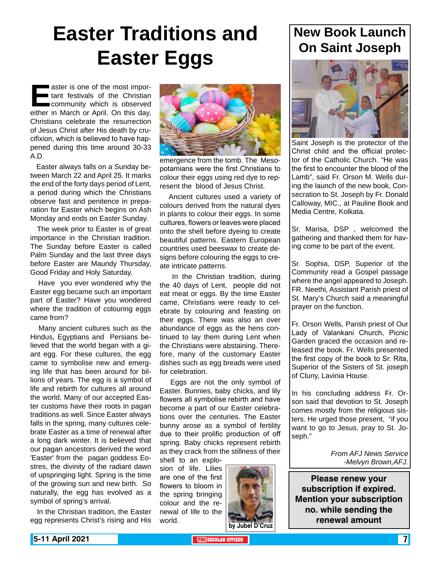# **Easter Traditions and Easter Eggs**

**Easter is one of the most important festivals of the Christian<br>community which is observed<br>either in March or April. On this dav.** tant festivals of the Christian community which is observed either in March or April. On this day, Christians celebrate the resurrection of Jesus Christ after His death by crucifixion, which is believed to have happened during this time around 30-33 A.D.

 Easter always falls on a Sunday between March 22 and April 25. It marks the end of the forty days period of Lent, a period during which the Christians observe fast and penitence in preparation for Easter which begins on Ash Monday and ends on Easter Sunday.

 The week prior to Easter is of great importance in the Christian tradition. The Sunday before Easter is called Palm Sunday and the last three days before Easter are Maundy Thursday, Good Friday and Holy Saturday.

 Have you ever wondered why the Easter egg became such an important part of Easter? Have you wondered where the tradition of colouring eggs came from?

 Many ancient cultures such as the Hindus, Egyptians and Persians believed that the world began with a giant egg. For these cultures, the egg came to symbolise new and emerging life that has been around for billions of years. The egg is a symbol of life and rebirth for cultures all around the world. Many of our accepted Easter customs have their roots in pagan traditions as well. Since Easter always falls in the spring, many cultures celebrate Easter as a time of renewal after a long dark winter. It is believed that our pagan ancestors derived the word 'Easter' from the pagan goddess Eostres, the divinity of the radiant dawn of upspringing light. Spring is the time of the growing sun and new birth. So naturally, the egg has evolved as a symbol of spring's arrival.

 In the Christian tradition, the Easter egg represents Christ's rising and His



emergence from the tomb. The Mesopotamians were the first Christians to colour their eggs using red dye to represent the blood of Jesus Christ.

 Ancient cultures used a variety of colours derived from the natural dyes in plants to colour their eggs. In some cultures, flowers or leaves were placed onto the shell before dyeing to create beautiful patterns. Eastern European countries used beeswax to create designs before colouring the eggs to create intricate patterns.

 In the Christian tradition, during the 40 days of Lent, people did not eat meat or eggs. By the time Easter came, Christians were ready to celebrate by colouring and feasting on their eggs. There was also an over abundance of eggs as the hens continued to lay them during Lent when the Christians were abstaining. Therefore, many of the customary Easter dishes such as egg breads were used for celebration.

 Eggs are not the only symbol of Easter. Bunnies, baby chicks, and lily flowers all symbolise rebirth and have become a part of our Easter celebrations over the centuries. The Easter bunny arose as a symbol of fertility due to their prolific production of off spring. Baby chicks represent rebirth as they crack from the stillness of their

shell to an explosion of life. Lilies are one of the first flowers to bloom in the spring bringing colour and the renewal of life to the world.



### **New Book Launch On Saint Joseph**



Saint Joseph is the protector of the Christ child and the official protector of the Catholic Church. "He was the first to encounter the blood of the Lamb", said Fr. Orson M. Wells during the launch of the new book, Consecration to St. Joseph by Fr. Donald Calloway, MIC., at Pauline Book and Media Centre, Kolkata.

Sr. Marisa, DSP , welcomed the gathering and thanked them for having come to be part of the event.

Sr. Sophia, DSP, Superior of the Community read a Gospel passage where the angel appeared to Joseph. FR. Neethi, Assistant Parish priest of St. Mary's Church said a meaningful prayer on the function.

Fr. Orson Wells, Parish priest of Our Lady of Valankani Church, Picnic Garden graced the occasion and released the book. Fr. Wells presented the first copy of the book to Sr. Rita, Superior of the Sisters of St. joseph of Cluny, Lavinia House.

In his concluding address Fr. Orson said that devotion to St. Joseph comes mostly from the religious sisters. He urged those present, "if you want to go to Jesus, pray to St. Joseph."

> *From AFJ News Service -Melvyn Brown,AFJ.*

**Please renew your subscription if expired. Mention your subscription no. while sending the renewal amount**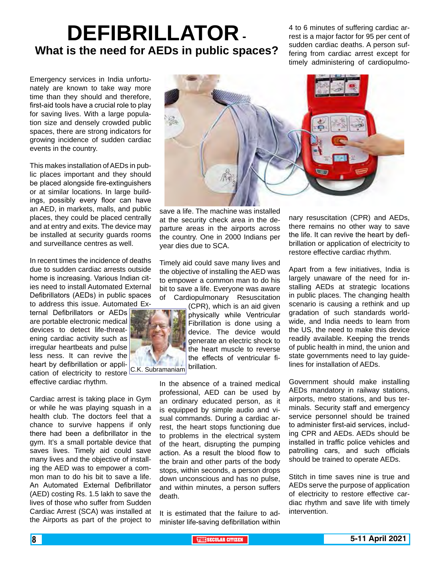# **DEFIBRILLATOR - What is the need for AEDs in public spaces?**

4 to 6 minutes of suffering cardiac arrest is a major factor for 95 per cent of sudden cardiac deaths. A person suffering from cardiac arrest except for timely administering of cardiopulmo-

Emergency services in India unfortunately are known to take way more time than they should and therefore, first-aid tools have a crucial role to play for saving lives. With a large population size and densely crowded public spaces, there are strong indicators for growing incidence of sudden cardiac events in the country.

This makes installation of AEDs in public places important and they should be placed alongside fire-extinguishers or at similar locations. In large buildings, possibly every floor can have an AED, in markets, malls, and public places, they could be placed centrally and at entry and exits. The device may be installed at security guards rooms and surveillance centres as well.

In recent times the incidence of deaths due to sudden cardiac arrests outside home is increasing. Various Indian cities need to install Automated External Defibrillators (AEDs) in public spaces to address this issue. Automated Ex-

ternal Defibrillators or AEDs are portable electronic medical devices to detect life-threatening cardiac activity such as irregular heartbeats and pulse less ness. It can revive the heart by defibrillation or application of electricity to restore C.K. Subramaniam

effective cardiac rhythm.

Cardiac arrest is taking place in Gym or while he was playing squash in a health club. The doctors feel that a chance to survive happens if only there had been a defibrillator in the gym. It's a small portable device that saves lives. Timely aid could save many lives and the objective of installing the AED was to empower a common man to do his bit to save a life. An Automated External Defibrillator (AED) costing Rs. 1.5 lakh to save the lives of those who suffer from Sudden Cardiac Arrest (SCA) was installed at the Airports as part of the project to



save a life. The machine was installed at the security check area in the departure areas in the airports across the country. One in 2000 Indians per year dies due to SCA.

Timely aid could save many lives and the objective of installing the AED was to empower a common man to do his bit to save a life. Everyone was aware of Cardiopulmonary Resuscitation

> (CPR), which is an aid given physically while Ventricular Fibrillation is done using a device. The device would generate an electric shock to the heart muscle to reverse the effects of ventricular fibrillation.

In the absence of a trained medical professional, AED can be used by an ordinary educated person, as it is equipped by simple audio and visual commands. During a cardiac arrest, the heart stops functioning due to problems in the electrical system of the heart, disrupting the pumping action. As a result the blood flow to the brain and other parts of the body stops, within seconds, a person drops down unconscious and has no pulse, and within minutes, a person suffers death.

It is estimated that the failure to administer life-saving defibrillation within nary resuscitation (CPR) and AEDs, there remains no other way to save the life. It can revive the heart by defibrillation or application of electricity to restore effective cardiac rhythm.

Apart from a few initiatives, India is largely unaware of the need for installing AEDs at strategic locations in public places. The changing health scenario is causing a rethink and up gradation of such standards worldwide, and India needs to learn from the US, the need to make this device readily available. Keeping the trends of public health in mind, the union and state governments need to lay guidelines for installation of AEDs.

Government should make installing AEDs mandatory in railway stations, airports, metro stations, and bus terminals. Security staff and emergency service personnel should be trained to administer first-aid services, including CPR and AEDs. AEDs should be installed in traffic police vehicles and patrolling cars, and such officials should be trained to operate AEDs.

Stitch in time saves nine is true and AEDs serve the purpose of application of electricity to restore effective cardiac rhythm and save life with timely intervention.

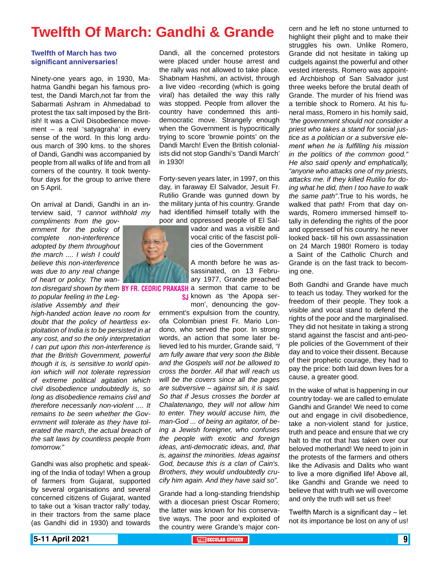### **Twelfth Of March: Gandhi & Grande**

#### **Twelfth of March has two significant anniversaries!**

Ninety-one years ago, in 1930, Mahatma Gandhi began his famous protest, the Dandi March,not far from the Sabarmati Ashram in Ahmedabad to protest the tax salt imposed by the British! It was a Civil Disobedience movement – a real 'satyagraha' in every sense of the word. In this long arduous march of 390 kms. to the shores of Dandi, Gandhi was accompanied by people from all walks of life and from all corners of the country. It took twentyfour days for the group to arrive there on 5 April.

On arrival at Dandi, Gandhi in an interview said, *"I cannot withhold my* 

*compliments from the government for the policy of complete non-interference adopted by them throughout the march .... I wish I could believe this non-interference was due to any real change of heart or policy. The wan-*

*to popular feeling in the Legislative Assembly and their* 

*high-handed action leave no room for doubt that the policy of heartless exploitation of India is to be persisted in at any cost, and so the only interpretation I can put upon this non-interference is that the British Government, powerful though it is, is sensitive to world opinion which will not tolerate repression of extreme political agitation which civil disobedience undoubtedly is, so long as disobedience remains civil and therefore necessarily non-violent .... It remains to be seen whether the Government will tolerate as they have tolerated the march, the actual breach of the salt laws by countless people from tomorrow."*

Gandhi was also prophetic and speaking of the India of today! When a group of farmers from Gujarat, supported by several organisations and several concerned citizens of Gujarat, wanted to take out a 'kisan tractor rally' today, in their tractors from the same place (as Gandhi did in 1930) and towards Dandi, all the concerned protestors were placed under house arrest and the rally was not allowed to take place. Shabnam Hashmi, an activist, through a live video -recording (which is going viral) has detailed the way this rally was stopped. People from allover the country have condemned this antidemocratic move. Strangely enough when the Government is hypocritically trying to score 'brownie points' on the Dandi March! Even the British colonialists did not stop Gandhi's 'Dandi March' in 1930!

Forty-seven years later, in 1997, on this day, in faraway El Salvador, Jesuit Fr. Rutilio Grande was gunned down by the military junta of his country. Grande had identified himself totally with the poor and oppressed people of El Sal-

> vador and was a visible and vocal critic of the fascist policies of the Government

ton disregard shown by them **BY FR. CEDRIC PRAKASH** a sermon that came to be A month before he was assassinated, on 13 February 1977, Grande preached **SJ** known as 'the Apopa ser-

mon', denouncing the government's expulsion from the country, ofa Colombian priest Fr. Mario Londono, who served the poor. In strong words, an action that some later believed led to his murder, Grande said, *"I am fully aware that very soon the Bible and the Gospels will not be allowed to cross the border. All that will reach us will be the covers since all the pages are subversive – against sin, it is said. So that if Jesus crosses the border at Chalatenango, they will not allow him to enter. They would accuse him, the man-God ... of being an agitator, of being a Jewish foreigner, who confuses the people with exotic and foreign ideas, anti-democratic ideas, and, that is, against the minorities. Ideas against God, because this is a clan of Cain's. Brothers, they would undoubtedly crucify him again. And they have said so".*

Grande had a long-standing friendship with a diocesan priest Oscar Romero; the latter was known for his conservative ways. The poor and exploited of the country were Grande's major con-

highlight their plight and to make their struggles his own. Unlike Romero, Grande did not hesitate in taking up cudgels against the powerful and other vested interests. Romero was appointed Archbishop of San Salvador just three weeks before the brutal death of Grande. The murder of his friend was a terrible shock to Romero. At his funeral mass, Romero in his homily said, *"the government should not consider a priest who takes a stand for social justice as a politician or a subversive element when he is fulfilling his mission in the politics of the common good." He also said openly and emphatically, "anyone who attacks one of my priests, attacks me. if they killed Rutilio for doing what he did, then I too have to walk the same path"*.True to his words, he walked that path! From that day onwards, Romero immersed himself totally in defending the rights of the poor and oppressed of his country. he never looked back- till his own assassination on 24 March 1980! Romero is today a Saint of the Catholic Church and Grande is on the fast track to becoming one.

cern and he left no stone unturned to

Both Gandhi and Grande have much to teach us today. They worked for the freedom of their people. They took a visible and vocal stand to defend the rights of the poor and the marginalised. They did not hesitate in taking a strong stand against the fascist and anti-people policies of the Government of their day and to voice their dissent. Because of their prophetic courage, they had to pay the price: both laid down lives for a cause, a greater good.

In the wake of what is happening in our country today- we are called to emulate Gandhi and Grande! We need to come out and engage in civil disobedience, take a non-violent stand for justice, truth and peace and ensure that we cry halt to the rot that has taken over our beloved motherland! We need to join in the protests of the farmers and others like the Adivasis and Dalits who want to live a more dignified life! Above all, like Gandhi and Grande we need to believe that with truth we will overcome and only the truth will set us free!

Twelfth March is a significant day – let not its importance be lost on any of us!

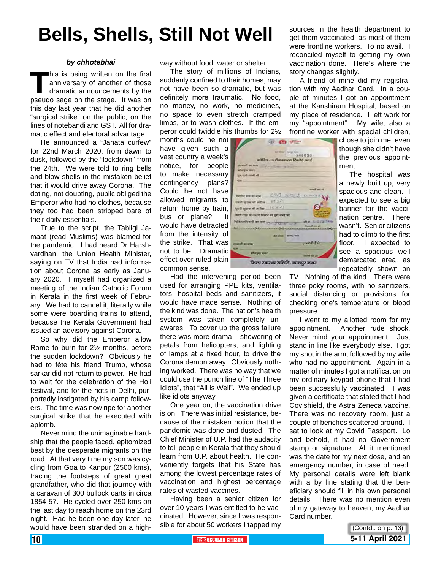# **Bells, Shells, Still Not Well**

#### *by chhotebhai*

This is being written on the first<br>
anniversary of another of those<br>
dramatic announcements by the<br>
pseudo sage on the stage. It was on anniversary of another of those dramatic announcements by the this day last year that he did another "surgical strike" on the public, on the lines of notebandi and GST. All for dramatic effect and electoral advantage.

He announced a "Janata curfew" for 22nd March 2020, from dawn to dusk, followed by the "lockdown" from the 24th. We were told to ring bells and blow shells in the mistaken belief that it would drive away Corona. The doting, not doubting, public obliged the Emperor who had no clothes, because they too had been stripped bare of their daily essentials.

True to the script, the Tabligi Jamaat (read Muslims) was blamed for the pandemic. I had heard Dr Harshvardhan, the Union Health Minister, saying on TV that India had information about Corona as early as January 2020. I myself had organized a meeting of the Indian Catholic Forum in Kerala in the first week of February. We had to cancel it, literally while some were boarding trains to attend, because the Kerala Government had issued an advisory against Corona.

So why did the Emperor allow Rome to burn for 2½ months, before the sudden lockdown? Obviously he had to fête his friend Trump, whose sarkar did not return to power. He had to wait for the celebration of the Holi festival, and for the riots in Delhi, purportedly instigated by his camp followers. The time was now ripe for another surgical strike that he executed with aplomb.

Never mind the unimaginable hardship that the people faced, epitomized best by the desperate migrants on the road. At that very time my son was cycling from Goa to Kanpur (2500 kms), tracing the footsteps of great great grandfather, who did that journey with a caravan of 300 bullock carts in circa 1854-57. He cycled over 250 kms on the last day to reach home on the 23rd night. Had he been one day later, he would have been stranded on a highway without food, water or shelter.

The story of millions of Indians, suddenly confined to their homes, may not have been so dramatic, but was definitely more traumatic. No food, no money, no work, no medicines, no space to even stretch cramped limbs, or to wash clothes. If the emperor could twiddle his thumbs for 2½

> **Warner Warn Style ind a**

**Gridoscophy** 

well ignored artist 15-3-2

gath agree att with a 16:00

stieren von

किसी तरह के लक्षण दिखने पर इस नवर पर

ob in lets grand variety and

 $25 - 60$  of  $27$ 

dement COVI SITED DINING

we way are

जिला स्वास्थ्य समिति, कानपुर नगर

ď

**WA MERZON** 

 $\frac{d\mu\mu\sigma\sigma}{d\tau} = 1.5$ 

 $48620$ 

**Deal** 

-------intilts-is Sassacra Raild and

months could he not have given such a vast country a week's notice, for people to make necessary contingency plans? Could he not have allowed migrants to return home by train, bus or plane? It would have detracted from the intensity of the strike. That was not to be. Dramatic effect over ruled plain common sense.

Had the intervening period been used for arranging PPE kits, ventilators, hospital beds and sanitizers, it would have made sense. Nothing of the kind was done. The nation's health system was taken completely unawares. To cover up the gross failure there was more drama – showering of petals from helicopters, and lighting of lamps at a fixed hour, to drive the Corona demon away. Obviously nothing worked. There was no way that we could use the punch line of "The Three Idiots", that "All is Well". We ended up like idiots anyway.

One year on, the vaccination drive is on. There was initial resistance, because of the mistaken notion that the pandemic was done and dusted. The Chief Minister of U.P. had the audacity to tell people in Kerala that they should learn from U.P. about health. He conveniently forgets that his State has among the lowest percentage rates of vaccination and highest percentage rates of wasted vaccines.

Having been a senior citizen for over 10 years I was entitled to be vaccinated. However, since I was responsible for about 50 workers I tapped my sources in the health department to get them vaccinated, as most of them were frontline workers. To no avail. I reconciled myself to getting my own vaccination done. Here's where the story changes slightly.

A friend of mine did my registration with my Aadhar Card. In a couple of minutes I got an appointment at the Kanshiram Hospital, based on my place of residence. I left work for my "appointment". My wife, also a frontline worker with special children,

chose to join me, even though she didn't have the previous appointment. The hospital was

a newly built up, very spacious and clean. I expected to see a big banner for the vaccination centre. There wasn't. Senior citizens had to climb to the first floor. I expected to see a spacious well demarcated area, as repeatedly shown on

TV. Nothing of the kind. There were three poky rooms, with no sanitizers, social distancing or provisions for checking one's temperature or blood pressure.

I went to my allotted room for my appointment. Another rude shock. Never mind your appointment. Just stand in line like everybody else. I got my shot in the arm, followed by my wife who had no appointment. Again in a matter of minutes I got a notification on my ordinary keypad phone that I had been successfully vaccinated. I was given a certificate that stated that I had Covishield, the Astra Zeneca vaccine. There was no recovery room, just a couple of benches scattered around. I sat to look at my Covid Passport. Lo and behold, it had no Government stamp or signature. All it mentioned was the date for my next dose, and an emergency number, in case of need. My personal details were left blank with a by line stating that the beneficiary should fill in his own personal details. There was no mention even of my gateway to heaven, my Aadhar Card number.

**10 THE SECULAR CITIZEN SECULAR CITIZEN SECULAR CITIZEN SECULAR CITIZEN SECULAR CITIZEN 5-11 April 2021** (Contd.. on p. 13)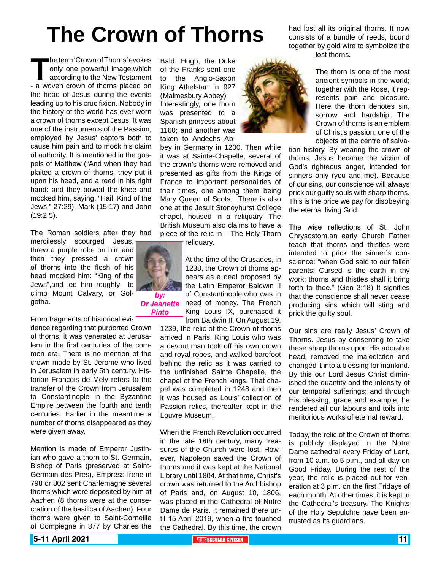# **The Crown of Thorns**

*by: Dr Jeanette Pinto*

The term 'Crown of Thorns' evokes<br>
only one powerful image, which<br>
according to the New Testament<br>
- a woven crown of thorns placed on only one powerful image,which according to the New Testament the head of Jesus during the events leading up to his crucifixion. Nobody in the history of the world has ever worn a crown of thorns except Jesus. It was one of the instruments of the Passion, employed by Jesus' captors both to cause him pain and to mock his claim of authority. It is mentioned in the gospels of Matthew ("And when they had plaited a crown of thorns, they put it upon his head, and a reed in his right hand: and they bowed the knee and mocked him, saying, "Hail, Kind of the Jews!" 27:29), Mark (15:17) and John (19:2,5).

The Roman soldiers after they had

mercilessly scourged Jesus, threw a purple robe on him,and then they pressed a crown of thorns into the flesh of his head mocked him: "King of the Jews",and led him roughly to climb Mount Calvary, or Golgotha.

From fragments of historical evi-

dence regarding that purported Crown of thorns, it was venerated at Jerusalem in the first centuries of the common era. There is no mention of the crown made by St. Jerome who lived in Jerusalem in early 5th century. Historian Francois de Mely refers to the transfer of the Crown from Jerusalem to Constantinople in the Byzantine Empire between the fourth and tenth centuries. Earlier in the meantime a number of thorns disappeared as they were given away.

Mention is made of Emperor Justinian who gave a thorn to St. Germain, Bishop of Paris (preserved at Saint-Germain-des-Pres), Empress Irene in 798 or 802 sent Charlemagne several thorns which were deposited by him at Aachen (8 thorns were at the consecration of the basilica of Aachen). Four thorns were given to Saint-Corneille of Compiegne in 877 by Charles the

Bald. Hugh, the Duke of the Franks sent one to the Anglo-Saxon King Athelstan in 927 (Malmesbury Abbey) Interestingly, one thorn was presented to a Spanish princess about 1160; and another was taken to Andechs Ab-

bey in Germany in 1200. Then while it was at Sainte-Chapelle, several of the crown's thorns were removed and presented as gifts from the Kings of France to important personalities of their times, one among them being Mary Queen of Scots. There is also one at the Jesuit Stoneyhurst College chapel, housed in a reliquary. The British Museum also claims to have a piece of the relic in – The Holy Thorn reliquary.

> At the time of the Crusades, in 1238, the Crown of thorns appears as a deal proposed by the Latin Emperor Baldwin II of Constantinople,who was in need of money. The French King Louis IX, purchased it from Baldwin II. On August 19,

1239, the relic of the Crown of thorns arrived in Paris. King Louis who was a devout man took off his own crown and royal robes, and walked barefoot behind the relic as it was carried to the unfinished Sainte Chapelle, the chapel of the French kings. That chapel was completed in 1248 and then it was housed as Louis' collection of Passion relics, thereafter kept in the Louvre Museum.

When the French Revolution occurred in the late 18th century, many treasures of the Church were lost. However, Napoleon saved the Crown of thorns and it was kept at the National Library until 1804. At that time, Christ's crown was returned to the Archbishop of Paris and, on August 10, 1806, was placed in the Cathedral of Notre Dame de Paris. It remained there until 15 April 2019, when a fire touched the Cathedral. By this time, the crown had lost all its original thorns. It now consists of a bundle of reeds, bound together by gold wire to symbolize the lost thorns.



The thorn is one of the most ancient symbols in the world; together with the Rose, it represents pain and pleasure. Here the thorn denotes sin, sorrow and hardship. The Crown of thorns is an emblem of Christ's passion; one of the objects at the centre of salva-

tion history. By wearing the crown of thorns, Jesus became the victim of God's righteous anger, intended for sinners only (you and me). Because of our sins, our conscience will always prick our guilty souls with sharp thorns. This is the price we pay for disobeying the eternal living God.

The wise reflections of St. John Chrysostom,an early Church Father teach that thorns and thistles were intended to prick the sinner's conscience: "when God said to our fallen parents: Cursed is the earth in thy work; thorns and thistles shall it bring forth to thee." (Gen 3:18) It signifies that the conscience shall never cease producing sins which will sting and prick the guilty soul.

Our sins are really Jesus' Crown of Thorns. Jesus by consenting to take these sharp thorns upon His adorable head, removed the malediction and changed it into a blessing for mankind. By this our Lord Jesus Christ diminished the quantity and the intensity of our temporal sufferings; and through His blessing, grace and example, he rendered all our labours and toils into meritorious works of eternal reward.

Today, the relic of the Crown of thorns is publicly displayed in the Notre Dame cathedral every Friday of Lent, from 10 a.m. to 5 p.m., and all day on Good Friday. During the rest of the year, the relic is placed out for veneration at 3 p.m. on the first Fridays of each month. At other times, it is kept in the Cathedral's treasury. The Knights of the Holy Sepulchre have been entrusted as its guardians.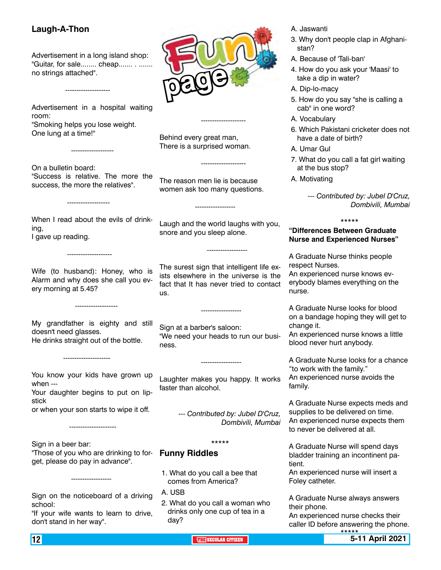### **Laugh-A-Thon**

--------------------

-------------------

Advertisement in a long island shop: "Guitar, for sale........ cheap....... . ....... no strings attached".

Advertisement in a hospital waiting room: "Smoking helps you lose weight. One lung at a time!"

On a bulletin board: "Success is relative. The more the success, the more the relatives".

-------------------

When I read about the evils of drinking, I gave up reading.

Wife (to husband): Honey, who is Alarm and why does she call you every morning at 5.45?

-------------------

My grandfather is eighty and still doesn't need glasses. He drinks straight out of the bottle.

You know your kids have grown up when ---

Your daughter begins to put on lipstick

or when your son starts to wipe it off.

Sign in a beer bar: "Those of you who are drinking to forget, please do pay in advance".

------------------

---------------------

---------------------

Sign on the noticeboard of a driving school:

"If your wife wants to learn to drive, don't stand in her way".

**page**

Behind every great man, There is a surprised woman.

--------------------

The reason men lie is because women ask too many questions.

------------------

------------------

Laugh and the world laughs with you, snore and you sleep alone.

------------------

--------------------

The surest sign that intelligent life exists elsewhere in the universe is the fact that It has never tried to contact us.

Sign at a barber's saloon: "We need your heads to run our business.

Laughter makes you happy. It works faster than alcohol.

------------------

*--- Contributed by: Jubel D'Cruz, Dombivili, Mumbai*

\*\*\*\*\*

### **Funny Riddles**

- 1. What do you call a bee that comes from America?
- A. USB
- 2. What do you call a woman who drinks only one cup of tea in a day?
- A. Jaswanti
- 3. Why don't people clap in Afghanistan?
- A. Because of 'Tali-ban'
- 4. How do you ask your 'Maasi' to take a dip in water?
- A. Dip-lo-macy
- 5. How do you say "she is calling a cab" in one word?
- A. Vocabulary
- 6. Which Pakistani cricketer does not have a date of birth?
- A. Umar Gul
- 7. What do you call a fat girl waiting at the bus stop?
- A. Motivating

*--- Contributed by: Jubel D'Cruz, Dombivili, Mumbai*

#### \*\*\*\*\*

### **"Differences Between Graduate Nurse and Experienced Nurses"**

A Graduate Nurse thinks people respect Nurses. An experienced nurse knows ev-

erybody blames everything on the nurse.

A Graduate Nurse looks for blood on a bandage hoping they will get to change it.

An experienced nurse knows a little blood never hurt anybody.

A Graduate Nurse looks for a chance "to work with the family." An experienced nurse avoids the family.

A Graduate Nurse expects meds and supplies to be delivered on time. An experienced nurse expects them to never be delivered at all.

A Graduate Nurse will spend days bladder training an incontinent patient.

An experienced nurse will insert a Foley catheter.

A Graduate Nurse always answers their phone.

An experienced nurse checks their caller ID before answering the phone.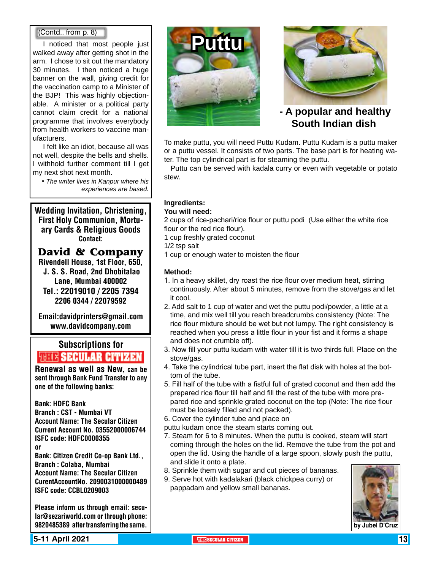### (Contd.. from p. 8)

I noticed that most people just walked away after getting shot in the arm. I chose to sit out the mandatory 30 minutes. I then noticed a huge banner on the wall, giving credit for the vaccination camp to a Minister of the BJP! This was highly objectionable. A minister or a political party cannot claim credit for a national programme that involves everybody from health workers to vaccine manufacturers.

I felt like an idiot, because all was not well, despite the bells and shells. I withhold further comment till I get my next shot next month.

*• The writer lives in Kanpur where his experiences are based.*

Wedding Invitation, Christening, First Holy Communion, Mortuary Cards & Religious Goods Contact:

**David & Company**

Rivendell House, 1st Floor, 650, J. S. S. Road, 2nd Dhobitalao Lane, Mumbai 400002 Tel.: 22019010 / 2205 7394 2206 0344 / 22079592

Email:davidprinters@gmail.com www.davidcompany.com

### Subscriptions for **RENEW SECULAR CITIZEN**<br>Renewal as well as New, can be

sent through Bank Fund Transfer to any one of the following banks:

Bank: HDFC Bank Branch : CST - Mumbai VT Account Name: The Secular Citizen Current Account No. 03552000006744 ISFC code: HDFC0000355 or Bank: Citizen Credit Co-op Bank Ltd., Branch : Colaba, Mumbai Account Name: The Secular Citizen CurentAccountNo. 2090031000000489

ISFC code: CCBL0209003

Please inform us through email: secular@sezariworld.com or through phone: 9820485389 after transferring the same.

**5-11 April 2021 The Security of the Secular Citizen 13 THE** SECULAR CITIZEN **13 THE** SECULAR CITIZEN **13 THE** 





 **- A popular and healthy South Indian dish**

To make puttu, you will need Puttu Kudam. Puttu Kudam is a puttu maker or a puttu vessel. It consists of two parts. The base part is for heating water. The top cylindrical part is for steaming the puttu.

 Puttu can be served with kadala curry or even with vegetable or potato stew.

### **Ingredients:**

### **You will need:**

2 cups of rice-pachari/rice flour or puttu podi (Use either the white rice flour or the red rice flour).

- 1 cup freshly grated coconut
- 1/2 tsp salt
- 1 cup or enough water to moisten the flour

### **Method:**

- 1. In a heavy skillet, dry roast the rice flour over medium heat, stirring continuously. After about 5 minutes, remove from the stove/gas and let it cool.
- 2. Add salt to 1 cup of water and wet the puttu podi/powder, a little at a time, and mix well till you reach breadcrumbs consistency (Note: The rice flour mixture should be wet but not lumpy. The right consistency is reached when you press a little flour in your fist and it forms a shape and does not crumble off).
- 3. Now fill your puttu kudam with water till it is two thirds full. Place on the stove/gas.
- 4. Take the cylindrical tube part, insert the flat disk with holes at the bottom of the tube.
- 5. Fill half of the tube with a fistful full of grated coconut and then add the prepared rice flour till half and fill the rest of the tube with more prepared rice and sprinkle grated coconut on the top (Note: The rice flour must be loosely filled and not packed).
- 6. Cover the cylinder tube and place on
- puttu kudam once the steam starts coming out.
- 7. Steam for 6 to 8 minutes. When the puttu is cooked, steam will start coming through the holes on the lid. Remove the tube from the pot and open the lid. Using the handle of a large spoon, slowly push the puttu, and slide it onto a plate.
- 8. Sprinkle them with sugar and cut pieces of bananas.
- 9. Serve hot with kadalakari (black chickpea curry) or pappadam and yellow small bananas.

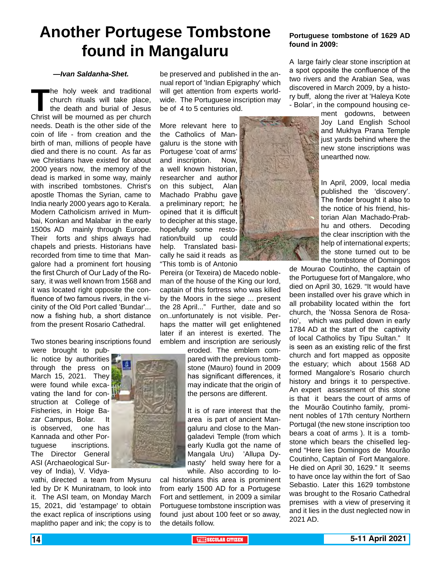### **Another Portugese Tombstone found in Mangaluru**

#### *—Ivan Saldanha-Shet.*

**The holy week and traditional church rituals will take place, the death and burial of Jesus Christ will be mourned as per church** church rituals will take place, the death and burial of Jesus Christ will be mourned as per church needs. Death is the other side of the coin of life - from creation and the birth of man, millions of people have died and there is no count. As far as we Christians have existed for about 2000 years now, the memory of the dead is marked in some way, mainly with inscribed tombstones. Christ's apostle Thomas the Syrian, came to India nearly 2000 years ago to Kerala. Modern Catholicism arrived in Mumbai, Konkan and Malabar in the early 1500s AD mainly through Europe. Their forts and ships always had chapels and priests. Historians have recorded from time to time that Mangalore had a prominent fort housing the first Church of Our Lady of the Rosary, it was well known from 1568 and it was located right opposite the confluence of two famous rivers, in the vicinity of the Old Port called 'Bundar'... now a fishing hub, a short distance from the present Rosario Cathedral.

Two stones bearing inscriptions found

were brought to public notice by authorities through the press on March 15, 2021. They were found while excavating the land for construction at College of Fisheries, in Hoige Bazar Campus, Bolar. It is observed, one has Kannada and other Portuguese inscriptions. The Director General ASI (Archaeological Survey of India), V. Vidya-

vathi, directed a team from Mysuru led by Dr K Muniratnam, to look into it. The ASI team, on Monday March 15, 2021, did 'estampage' to obtain the exact replica of inscriptions using maplitho paper and ink; the copy is to

be preserved and published in the annual report of 'Indian Epigraphy' which will get attention from experts worldwide. The Portuguese inscription may be of 4 to 5 centuries old.

More relevant here to the Catholics of Mangaluru is the stone with Portugese 'coat of arms' and inscription. Now, a well known historian, researcher and author on this subject, Alan Machado Prabhu gave a preliminary report; he opined that it is difficult to decipher at this stage, hopefully some restoration/build up could help. Translated basically he said it reads  $|$ as "This tomb is of Antonio

Pereira (or Texeira) de Macedo nobleman of the house of the King our lord, captain of this fortress who was killed by the Moors in the siege ... present the 28 April..." Further, date and so on..unfortunately is not visible. Perhaps the matter will get enlightened later if an interest is exerted. The emblem and inscription are seriously

> eroded. The emblem compared with the previous tombstone (Mauro) found in 2009 has significant differences, it may indicate that the origin of the persons are different.

It is of rare interest that the area is part of ancient Mangaluru and close to the Mangaladevi Temple (from which early Kudla got the name of Mangala Uru) 'Allupa Dynasty' held sway here for a while. Also according to lo-

cal historians this area is prominent from early 1500 AD for a Portugese Fort and settlement, in 2009 a similar Portuguese tombstone inscription was found just about 100 feet or so away, the details follow.

#### **Portuguese tombstone of 1629 AD found in 2009:**

A large fairly clear stone inscription at a spot opposite the confluence of the two rivers and the Arabian Sea, was discovered in March 2009, by a history buff, along the river at 'Haleya Kote - Bolar', in the compound housing ce-

> ment godowns, between Joy Land English School and Mukhya Prana Temple just yards behind where the new stone inscriptions was unearthed now.

> In April, 2009, local media published the 'discovery'. The finder brought it also to the notice of his friend, historian Alan Machado-Prabhu and others. Decoding the clear inscription with the help of international experts: the stone turned out to be the tombstone of Domingos

de Mourao Coutinho, the captain of the Portuguese fort of Mangalore, who died on April 30, 1629. "It would have been installed over his grave which in all probability located within the fort church, the 'Nossa Senora de Rosario', which was pulled down in early 1784 AD at the start of the captivity of local Catholics by Tipu Sultan." It is seen as an existing relic of the first church and fort mapped as opposite the estuary; which about 1568 AD formed Mangalore's Rosario church history and brings it to perspective. An expert assessment of this stone is that it bears the court of arms of the Mourão Coutinho family, prominent nobles of 17th century Northern Portugal (the new stone inscription too bears a coat of arms ). It is a tombstone which bears the chiselled legend "Here lies Domingos de Mourão Coutinho, Captain of Fort Mangalore. He died on April 30, 1629." It seems to have once lay within the fort of Sao Sebastio. Later this 1629 tombstone was brought to the Rosario Cathedral premises with a view of preserving it and it lies in the dust neglected now in 2021 AD.

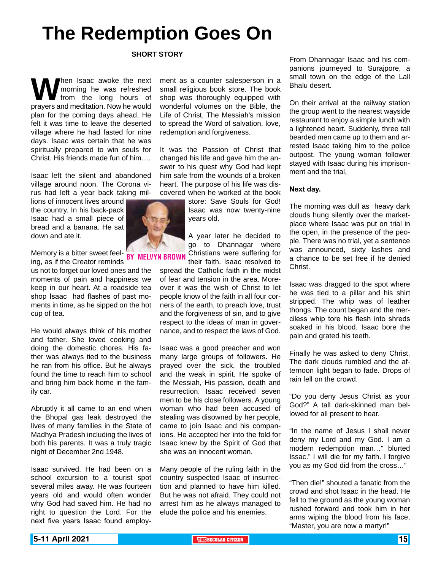# **The Redemption Goes On**

#### **SHORT STORY**

**W** hen Isaac awoke the next morning he was refreshed from the long hours of prayers and meditation. Now he would morning he was refreshed from the long hours of plan for the coming days ahead. He felt it was time to leave the deserted village where he had fasted for nine days. Isaac was certain that he was spiritually prepared to win souls for Christ. His friends made fun of him….

Isaac left the silent and abandoned village around noon. The Corona virus had left a year back taking mil-

lions of innocent lives around the country. In his back-pack Isaac had a small piece of bread and a banana. He sat down and ate it.

Memory is a bitter sweet feel-<br>ingles if the Creater reminds BY MELVYN BR ing, as if the Creator reminds

us not to forget our loved ones and the moments of pain and happiness we keep in our heart. At a roadside tea shop Isaac had flashes of past moments in time, as he sipped on the hot cup of tea.

He would always think of his mother and father. She loved cooking and doing the domestic chores. His father was always tied to the business he ran from his office. But he always found the time to reach him to school and bring him back home in the family car.

Abruptly it all came to an end when the Bhopal gas leak destroyed the lives of many families in the State of Madhya Pradesh including the lives of both his parents. It was a truly tragic night of December 2nd 1948.

Isaac survived. He had been on a school excursion to a tourist spot several miles away. He was fourteen years old and would often wonder why God had saved him. He had no right to question the Lord. For the next five years Isaac found employment as a counter salesperson in a small religious book store. The book shop was thoroughly equipped with wonderful volumes on the Bible, the Life of Christ, The Messiah's mission to spread the Word of salvation, love, redemption and forgiveness.

It was the Passion of Christ that changed his life and gave him the answer to his quest why God had kept him safe from the wounds of a broken heart. The purpose of his life was discovered when he worked at the book

> store: Save Souls for God! Isaac was now twenty-nine years old.

A year later he decided to go to Dhannagar where Christians were suffering for their faith. Isaac resolved to

spread the Catholic faith in the midst of fear and tension in the area. Moreover it was the wish of Christ to let people know of the faith in all four corners of the earth, to preach love, trust and the forgiveness of sin, and to give respect to the ideas of man in governance, and to respect the laws of God.

Isaac was a good preacher and won many large groups of followers. He prayed over the sick, the troubled and the weak in spirit. He spoke of the Messiah, His passion, death and resurrection. Isaac received seven men to be his close followers. A young woman who had been accused of stealing was disowned by her people, came to join Isaac and his companions. He accepted her into the fold for Isaac knew by the Spirit of God that she was an innocent woman.

Many people of the ruling faith in the country suspected Isaac of insurrection and planned to have him killed. But he was not afraid. They could not arrest him as he always managed to elude the police and his enemies.

From Dhannagar Isaac and his companions journeyed to Surajpore, a small town on the edge of the Lall Bhalu desert.

On their arrival at the railway station the group went to the nearest wayside restaurant to enjoy a simple lunch with a lightened heart. Suddenly, three tall bearded men came up to them and arrested Isaac taking him to the police outpost. The young woman follower stayed with Isaac during his imprisonment and the trial,

#### **Next day.**

The morning was dull as heavy dark clouds hung silently over the marketplace where Isaac was put on trial in the open, in the presence of the people. There was no trial, yet a sentence was announced, sixty lashes and a chance to be set free if he denied Christ.

Isaac was dragged to the spot where he was tied to a pillar and his shirt stripped. The whip was of leather thongs. The count began and the merciless whip tore his flesh into shreds soaked in his blood. Isaac bore the pain and grated his teeth.

Finally he was asked to deny Christ. The dark clouds rumbled and the afternoon light began to fade. Drops of rain fell on the crowd.

"Do you deny Jesus Christ as your God?" A tall dark-skinned man bellowed for all present to hear.

"In the name of Jesus I shall never deny my Lord and my God. I am a modern redemption man…" blurted Issac." I will die for my faith. I forgive you as my God did from the cross…"

"Then die!" shouted a fanatic from the crowd and shot Isaac in the head. He fell to the ground as the young woman rushed forward and took him in her arms wiping the blood from his face, "Master, you are now a martyr!"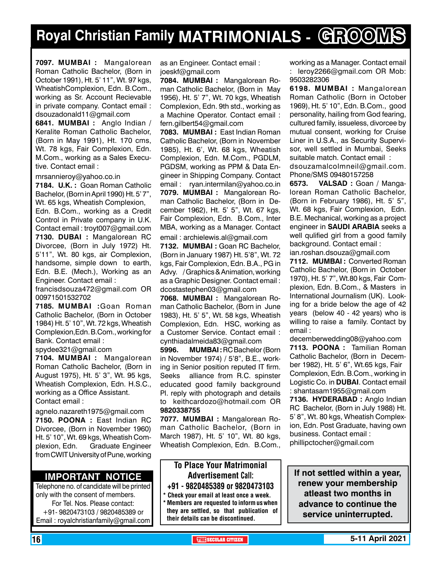# **Royal Christian Family MATRIMONIALS - GROOMS**

**7097. MUMBAI :** Mangalorean Roman Catholic Bachelor, (Born in October 1991), Ht. 5' 11", Wt. 97 kgs, WheatishComplexion, Edn. B.Com., working as Sr. Account Recievable in private company. Contact email : dsouzadonald11@gmail.com

**6841. MuMBAI :** Anglo Indian / Keralite Roman Catholic Bachelor, (Born in May 1991), Ht. 170 cms, Wt. 78 kgs, Fair Complexion, Edn. M.Com., working as a Sales Executive. Contact email :

mrsannieroy@yahoo.co.in

**7184. U.K. :** Goan Roman Catholic Bachelor, (Born in April 1990) Ht. 5' 7", Wt. 65 kgs, Wheatish Complexion, Edn. B.Com., working as a Credit Control in Private company in U.K. Contact email : troyt007@gmail.com **7130. DUBAI :** Mangalorean RC Divorcee, (Born in July 1972) Ht. 5'11", Wt. 80 kgs, air Complexion, handsome, simple down to earth, Edn. B.E. (Mech.), Working as an Engineer. Contact email :

francisdsouza472@gmail.com OR 00971501532702

**7185. MUMBAI :**Goan Roman Catholic Bachelor, (Born in October 1984) Ht. 5' 10", Wt. 72 kgs, Wheatish Complexion,Edn. B.Com., working for Bank. Contact email :

spydee321@gmail.com

**7104. MUMBAI :** Mangalorean Roman Catholic Bachelor, (Born in August 1975), Ht. 5' 3", Wt. 95 kgs, Wheatish Complexion, Edn. H.S.C., working as a Office Assistant. Contact email :

agnelo.nazareth1975@gmail.com **7150. POONA :** East Indian RC Divorcee, (Born in November 1960) Ht. 5' 10", Wt. 69 kgs, Wheatish Complexion, Edn. Graduate Engineer from CWIT University of Pune, working

### **Important Notice**

Telephone no. of candidate will be printed only with the consent of members. For Tel. Nos. Please contact: +91- 9820473103 / 9820485389 or Email : royalchristianfamily@gmail.com

as an Engineer. Contact email : joeskf@gmail.com

**7084. MUMBAI :** Mangalorean Roman Catholic Bachelor, (Born in May 1956), Ht. 5' 7", Wt. 70 kgs, Wheatish Complexion, Edn. 9th std., working as a Machine Operator. Contact email : fern.gilbert54@gmail.com

**7083. MUMBAI :** East Indian Roman Catholic Bachelor, (Born in November 1985), Ht. 6', Wt. 68 kgs, Wheatish Complexion, Edn. M.Com., PGDLM, PGDSM, working as PPM & Data Engineer in Shipping Company. Contact email : ryan.intermilan@yahoo.co.in **7079. MUMBAI :** Mangalorean Roman Catholic Bachelor, (Born in December 1962), Ht. 5' 5", Wt. 67 kgs, Fair Complexion, Edn. B.Com., Inter MBA, working as a Manager. Contact email : archielewis.al@gmail.com

**7132. MUMBAI :** Goan RC Bachelor, (Born in January 1987) Ht. 5'8", Wt. 72 kgs, Fair Complexion, Edn. B.A., PG in Advy. / Graphics & Animation, working as a Graphic Designer. Contact email : dcostastephen03@gmail.com

**7068. MUMBAI :** Mangalorean Roman Catholic Bachelor, (Born in June 1983), Ht. 5' 5", Wt. 58 kgs, Wheatish Complexion, Edn. HSC, working as a Customer Service. Contact email : cynthiadalmeida83@gmail.com

**5996. MUMBAI :** RC Bachelor (Born in November 1974) / 5'8", B.E., working in Senior position reputed IT firm. Seeks alliance from R.C. spinster educated good family background Pl. reply with photograph and details to keithcardozo@hotmail.com OR 9820338755

**7077. MUMBAI :** Mangalorean Roman Catholic Bachelor, (Born in March 1987), Ht. 5' 10", Wt. 80 kgs, Wheatish Complexion, Edn. B.Com.,

### To Place Your Matrimonial Advertisement Call: +91 - 9820485389 or 9820473103

Check your email at least once a week.

Members are requested to inform us when they are settled, so that publication of their details can be discontinued.

working as a Manager. Contact email : leroy2266@gmail.com OR Mob: 9503282306

**6198. MUMBAI :** Mangalorean Roman Catholic (Born in October 1969), Ht. 5' 10", Edn. B.Com., good personality, hailing from God fearing, cultured family, issueless, divorcee by mutual consent, working for Cruise Liner in U.S.A., as Security Supervisor, well settled in Mumbai, Seeks suitable match. Contact email : dsouzamalcolmneil@gmail.com. Phone/SMS 09480157258

**6573. VALSAD :** Goan / Mangalorean Roman Catholic Bachelor, (Born in February 1986), Ht. 5' 5", Wt. 68 kgs, Fair Complexion, Edn. B.E. Mechanical, working as a project engineer in **SAUDI ARABIA** seeks a well qulified girl from a good family background. Contact email : ian.roshan.dsouza@gmail.com

**7112. MUMBAI :** Converted Roman Catholic Bachelor, (Born in October 1970), Ht. 5' 7", Wt.80 kgs, Fair Complexion, Edn. B.Com., & Masters in International Journalism (UK). Looking for a bride below the age of 42 years (below 40 - 42 years) who is willing to raise a family. Contact by email :

decemberwedding08@yahoo.com **7113. POONA :** Tamilian Roman Catholic Bachelor, (Born in December 1982), Ht. 5' 6", Wt.65 kgs, Fair Complexion, Edn. B.Com., working in Logistic Co. in **DUBAI**. Contact email : shantasam1955@gmail.com

**7136. HYDERABAD :** Anglo Indian RC Bachelor, (Born in July 1988) Ht. 5' 8", Wt. 80 kgs, Wheatish Complexion, Edn. Post Graduate, having own business. Contact email : phillipctocher@gmail.com

**If not settled within a year, renew your membership atleast two months in advance to continue the service uninterrupted.**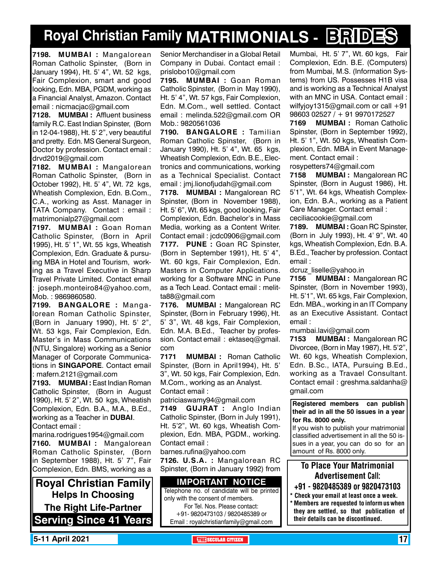# **Royal Christian Family MATRIMONIALS - BRIDES**

**7198. MUMBAI :** Mangalorean Roman Catholic Spinster, (Born in January 1994), Ht. 5' 4", Wt. 52 kgs, Fair Complexion, smart and good looking, Edn. MBA, PGDM, working as a Financial Analyst, Amazon. Contact email : nicmacjac@gmail.com

**7128. MUMBAI :** Affluent business family R.C. East Indian Spinster, (Born in 12-04-1988), Ht. 5' 2", very beautiful and pretty. Edn. MS General Surgeon, Doctor by profession. Contact email : drvd2019@gmail.com

**7182. MUMBAI :** Mangalorean Roman Catholic Spinster, (Born in October 1992), Ht. 5' 4", Wt. 72 kgs, Wheatish Complexion, Edn. B.Com., C.A., working as Asst. Manager in TATA Company. Contact : email : matrimonialp27@gmail.com

**7197. MUMBAI :** Goan Roman Catholic Spinster, (Born in April 1995), Ht. 5' 1", Wt. 55 kgs, Wheatish Complexion, Edn. Graduate & pursuing MBA in Hotel and Tourism, working as a Travel Executive in Sharp Travel Private Limited. Contact email : joseph.monteiro84@yahoo.com, Mob. : 9869860580.

**7199. BANGALORE :** Mangalorean Roman Catholic Spinster, (Born in January 1990), Ht. 5' 2", Wt. 53 kgs, Fair Complexion, Edn. Master's in Mass Communications (NTU, Singalore) working as a Senior Manager of Corporate Communications in **SINGAPORE**. Contact email : mafern.2121@gmail.com

**7193. MUMBAI :** East Indian Roman Catholic Spinster, (Born in August 1990), Ht. 5' 2", Wt. 50 kgs, Wheatish Complexion, Edn. B.A., M.A., B.Ed., working as a Teacher in **Dubai**. Contact email :

marina.rodrigues1954@gmail.com **7160. MUMBAI :** Mangalorean Roman Catholic Spinster, (Born in September 1988), Ht. 5' 7", Fair Complexion, Edn. BMS, working as a

**Royal Christian Family Helps In Choosing The Right Life-Partner Serving Since 41 Years** Senior Merchandiser in a Global Retail Company in Dubai. Contact email : prislobo10@gmail.com

**7195. MUMBAI :** Goan Roman Catholic Spinster, (Born in May 1990), Ht. 5' 4", Wt. 57 kgs, Fair Complexion, Edn. M.Com., well settled. Contact email : melinda.522@gmail.com OR Mob.: 9820561036

**7190. BANGALORE :** Tamilian Roman Catholic Spinster, (Born in January 1990), Ht. 5' 4", Wt. 65 kgs, Wheatish Complexion, Edn. B.E., Electronics and communications, working as a Technical Specialist. Contact email : jmj.lionofjudah@gmail.com

**7178. MUMBAI :** Mangalorean RC Spinster, (Born in November 1988), Ht. 5' 6", Wt. 65 kgs, good looking, Fair Complexion, Edn. Bachelor's in Mass Media, working as a Content Writer. Contact email : jcdc0906@gmail.com **7177. PUNE :** Goan RC Spinster, (Born in September 1991), Ht. 5' 4", Wt. 60 kgs, Fair Complexion, Edn. Masters in Computer Applications. working for a Software MNC in Pune as a Tech Lead. Contact email : melitta88@gmail.com

**7176. MUMBAI :** Mangalorean RC Spinster, (Born in February 1996), Ht. 5' 3", Wt. 48 kgs, Fair Complexion, Edn. M.A. B.Ed., Teacher by profession. Contact email : ektaseq@gmail. com

**7171 MUMBAI :** Roman Catholic Spinster, (Born in April1994), Ht. 5' 3", Wt. 50 kgs, Fair Complexion, Edn. M.Com., working as an Analyst. Contact email :

patriciaswamy94@gmail.com

**7149 GUJRAT :** Anglo Indian Catholic Spinster, (Born in July 1991), Ht. 5'2", Wt. 60 kgs, Wheatish Complexion, Edn. MBA, PGDM., working. Contact email :

barnes.rufina@yahoo.com **7126. U.S.A. :** Mangalorean RC Spinster, (Born in January 1992) from

**Important Notice** Telephone no. of candidate will be printed only with the consent of members. For Tel. Nos. Please contact: +91- 9820473103 / 9820485389 or Email : royalchristianfamily@gmail.com

Mumbai, Ht. 5' 7", Wt. 60 kgs, Fair Complexion, Edn. B.E. (Computers) from Mumbai, M.S. (Information Systems) from US. Possesses H1B visa and is working as a Technical Analyst with an MNC in USA. Contact email : wilfyjoy1315@gmail.com or call +91 98603 02527 / + 91 9970172527

**7169 MUMBAI :** Roman Catholic Spinster, (Born in September 1992), Ht. 5' 1", Wt. 50 kgs, Wheatish Complexion, Edn. MBA in Event Management. Contact email :

rosypetters74@gmail.com

**7158 MUMBAI :** Mangalorean RC Spinster, (Born in August 1986), Ht. 5'1", Wt. 64 kgs, Wheatish Complexion, Edn. B.A., working as a Patient Care Manager. Contact email : ceciliacookie@gmail.com

**7189. MUMBAI :** Goan RC Spinster, (Born in July 1993), Ht. 4' 9", Wt. 40 kgs, Wheatish Complexion, Edn. B.A. B.Ed., Teacher by profession. Contact email :

dcruz\_liselle@yahoo.in

**7156 MUMBAI :** Mangalorean RC Spinster, (Born in November 1993), Ht. 5'1", Wt. 65 kgs, Fair Complexion, Edn. MBA., working in an IT Company as an Executive Assistant. Contact email :

mumbai.lavi@gmail.com

**7153 MUMBAI :** Mangalorean RC Divorcee, (Born in May 1987), Ht. 5'2", Wt. 60 kgs, Wheatish Complexion, Edn. B.Sc., IATA, Pursuing B.Ed., working as a Travael Consultant. Contact email : greshma.saldanha@ gmail.com

**Registered members can publish their ad in all the 50 issues in a year for Rs. 8000 only.**

If you wish to publish your matrimonial classified advertisement in all the 50 issues in a year, you can do so for an amount of Rs. 8000 only.

### To Place Your Matrimonial Advertisement Call:

- +91 9820485389 or 9820473103
- Check your email at least once a week. Members are requested to inform us when they are settled, so that publication of their details can be discontinued.

**5-11 April 2021 The Security of the Secular Citizen 17 and 2012 17 and 2013 17 and 2014**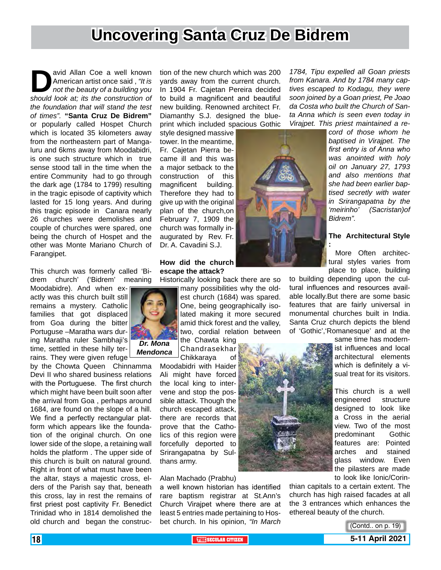### **Uncovering Santa Cruz De Bidrem**

avid Allan Coe a well known<br>
American artist once said, "It is<br> *not the beauty of a building you*<br> *should look at; its the construction of* American artist once said , *"It is not the beauty of a building you the foundation that will stand the test of times".* **"Santa Cruz De Bidrem"** or popularly called Hospet Church which is located 35 kilometers away from the northeastern part of Mangaluru and 6kms away from Moodabidri, is one such structure which in true sense stood tall in the time when the entire Community had to go through the dark age (1784 to 1799) resulting in the tragic episode of captivity which lasted for 15 long years. And during this tragic episode in Canara nearly 26 churches were demolishes and couple of churches were spared, one being the church of Hospet and the other was Monte Mariano Church of Farangipet.

This church was formerly called 'Bidrem church' ('Bidrem' meaning

Moodabidre). And when exactly was this church built still remains a mystery. Catholic families that got displaced from Goa during the bitter Portuguse –Maratha wars during Maratha ruler Sambhaji's time, settled in these hilly terrains. They were given refuge

by the Chowta Queen Chinnamma Devi II who shared business relations with the Portuguese. The first church which might have been built soon after the arrival from Goa , perhaps around 1684, are found on the slope of a hill. We find a perfectly rectangular platform which appears like the foundation of the original church. On one lower side of the slope, a retaining wall holds the platform . The upper side of this church is built on natural ground. Right in front of what must have been the altar, stays a majestic cross, elders of the Parish say that, beneath this cross, lay in rest the remains of first priest post captivity Fr. Benedict Trinidad who in 1814 demolished the old church and began the construc-

tion of the new church which was 200 yards away from the current church. In 1904 Fr. Cajetan Pereira decided to build a magnificent and beautiful new building. Renowned architect Fr. Diamanthy S.J. designed the blueprint which included spacious Gothic

style designed massive tower. In the meantime, Fr. Cajetan Pierra became ill and this was a major setback to the construction of this magnificent building. Therefore they had to give up with the original plan of the church,on February 7, 1909 the church was formally inaugurated by Rev. Fr. Dr. A. Cavadini S.J.

#### **How did the church escape the attack?**

Historically looking back there are so



many possibilities why the oldest church (1684) was spared. One, being geographically isolated making it more secured amid thick forest and the valley, two, cordial relation between

the Chawta king Chandrasekhar Chikkaraya of

Moodabidri with Haider Ali might have forced the local king to intervene and stop the possible attack. Though the church escaped attack, there are records that prove that the Catholics of this region were forcefully deported to Srirangapatna by Sulthans army.

Alan Machado (Prabhu)

a well known historian has identified rare baptism registrar at St.Ann's Church Virajpet where there are at least 5 entries made pertaining to Hosbet church. In his opinion, *"In March* 

*1784, Tipu expelled all Goan priests from Kanara. And by 1784 many captives escaped to Kodagu, they were soon joined by a Goan priest, Pe Joao da Costa who built the Church of Santa Anna which is seen even today in Virajpet. This priest maintained a re-*

> *cord of those whom he baptised in Virajpet. The first entry is of Anna who was anointed with holy oil on January 27, 1793 and also mentions that she had been earlier baptised secretly with water in Srirangapatna by the 'meirinho' (Sacristan)of Bidrem".*

#### **The Architectural Style**

 More Often architectural styles varies from place to place, building

to building depending upon the cultural influences and resources available locally.But there are some basic features that are fairly universal in monumental churches built in India. Santa Cruz church depicts the blend of 'Gothic','Romanesque' and at the

**:**

same time has modernist influences and local architectural elements which is definitely a visual treat for its visitors.

This church is a well engineered structure designed to look like a Cross in the aerial view. Two of the most predominant Gothic features are: Pointed arches and stained glass window. Even the pilasters are made to look like Ionic/Corin-

thian capitals to a certain extent. The church has high raised facades at all the 3 entrances which enhances the ethereal beauty of the church.



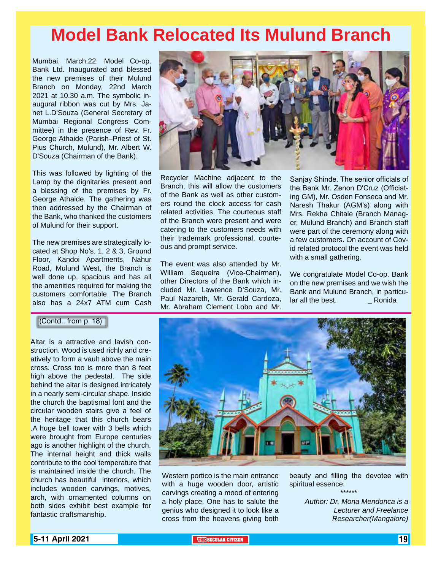# **Model Bank Relocated Its Mulund Branch**

Mumbai, March.22: Model Co-op. Bank Ltd. Inaugurated and blessed the new premises of their Mulund Branch on Monday, 22nd March 2021 at 10.30 a.m. The symbolic inaugural ribbon was cut by Mrs. Janet L.D'Souza (General Secretary of Mumbai Regional Congress Committee) in the presence of Rev. Fr. George Athaide (Parish–Priest of St. Pius Church, Mulund), Mr. Albert W. D'Souza (Chairman of the Bank).

This was followed by lighting of the Lamp by the dignitaries present and a blessing of the premises by Fr. George Athaide. The gathering was then addressed by the Chairman of the Bank, who thanked the customers of Mulund for their support.

The new premises are strategically located at Shop No's. 1, 2 & 3, Ground Floor, Kandoi Apartments, Nahur Road, Mulund West, the Branch is well done up, spacious and has all the amenities required for making the customers comfortable. The Branch also has a 24x7 ATM cum Cash

(Contd.. from p. 18)

Altar is a attractive and lavish construction. Wood is used richly and creatively to form a vault above the main cross. Cross too is more than 8 feet high above the pedestal. The side behind the altar is designed intricately in a nearly semi-circular shape. Inside the church the baptismal font and the circular wooden stairs give a feel of the heritage that this church bears .A huge bell tower with 3 bells which were brought from Europe centuries ago is another highlight of the church. The internal height and thick walls contribute to the cool temperature that is maintained inside the church. The church has beautiful interiors, which includes wooden carvings, motives, arch, with ornamented columns on both sides exhibit best example for fantastic craftsmanship.



Recycler Machine adjacent to the Branch, this will allow the customers of the Bank as well as other customers round the clock access for cash related activities. The courteous staff of the Branch were present and were catering to the customers needs with their trademark professional, courteous and prompt service.

The event was also attended by Mr. William Sequeira (Vice-Chairman), other Directors of the Bank which included Mr. Lawrence D'Souza, Mr. Paul Nazareth, Mr. Gerald Cardoza, Mr. Abraham Clement Lobo and Mr.

Sanjay Shinde. The senior officials of the Bank Mr. Zenon D'Cruz (Officiating GM), Mr. Osden Fonseca and Mr. Naresh Thakur (AGM's) along with Mrs. Rekha Chitale (Branch Manager, Mulund Branch) and Branch staff were part of the ceremony along with a few customers. On account of Covid related protocol the event was held with a small gathering.

We congratulate Model Co-op. Bank on the new premises and we wish the Bank and Mulund Branch, in particular all the best.<br>
Ronida lar all the best.



Western portico is the main entrance with a huge wooden door, artistic carvings creating a mood of entering a holy place. One has to salute the genius who designed it to look like a cross from the heavens giving both

beauty and filling the devotee with spiritual essence. \*\*\*\*\*\*

> *Author: Dr. Mona Mendonca is a Lecturer and Freelance Researcher(Mangalore)*